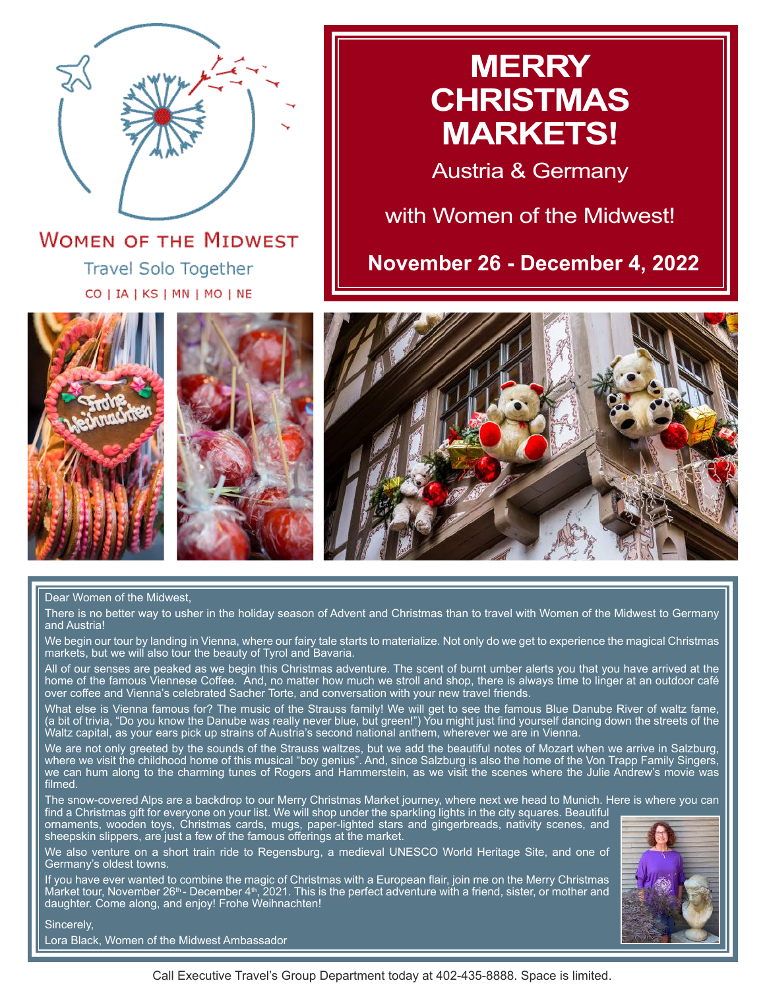

**WOMEN OF THE MIDWEST Travel Solo Together** CO | IA | KS | MN | MO | NE

## **MERRY CHRISTMAS MARKETS!**

Austria & Germany

with Women of the Midwest!

**November 26 - December 4, 2022**







#### Dear Women of the Midwest,

There is no better way to usher in the holiday season of Advent and Christmas than to travel with Women of the Midwest to Germany and Austria!

We begin our tour by landing in Vienna, where our fairy tale starts to materialize. Not only do we get to experience the magical Christmas markets, but we will also tour the beauty of Tyrol and Bavaria.

All of our senses are peaked as we begin this Christmas adventure. The scent of burnt umber alerts you that you have arrived at the home of the famous Viennese Coffee. And, no matter how much we stroll and shop, there is always time to linger at an outdoor café over coffee and Vienna's celebrated Sacher Torte, and conversation with your new travel friends.

What else is Vienna famous for? The music of the Strauss family! We will get to see the famous Blue Danube River of waltz fame, (a bit of trivia, "Do you know the Danube was really never blue, but green!") You might just find yourself dancing down the streets of the Waltz capital, as your ears pick up strains of Austria's second national anthem, wherever we are in Vienna.

We are not only greeted by the sounds of the Strauss waltzes, but we add the beautiful notes of Mozart when we arrive in Salzburg, where we visit the childhood home of this musical "boy genius". And, since Salzburg is also the home of the Von Trapp Family Singers, we can hum along to the charming tunes of Rogers and Hammerstein, as we visit the scenes where the Julie Andrew's movie was filmed.

The snow-covered Alps are a backdrop to our Merry Christmas Market journey, where next we head to Munich. Here is where you can find a Christmas gift for everyone on your list. We will shop under the sparkling lights in the city squares. Beautiful

ornaments, wooden toys, Christmas cards, mugs, paper-lighted stars and gingerbreads, nativity scenes, and sheepskin slippers, are just a few of the famous offerings at the market.

We also venture on a short train ride to Regensburg, a medieval UNESCO World Heritage Site, and one of Germany's oldest towns.

If you have ever wanted to combine the magic of Christmas with a European flair, join me on the Merry Christmas Market tour, November 26<sup>th</sup> - December 4<sup>th</sup>, 2021. This is the perfect adventure with a friend, sister, or mother and daughter. Come along, and enjoy! Frohe Weihnachten!



Sincerely,

Lora Black, Women of the Midwest Ambassador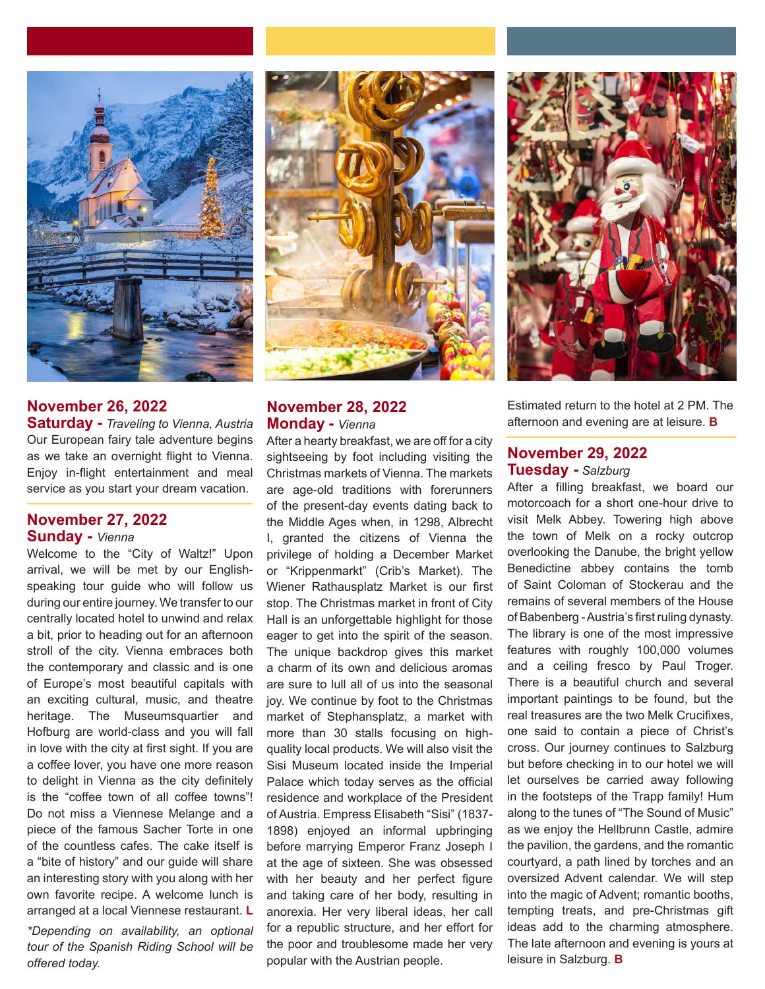

## **November 26, 2022**

**Saturday -** *Traveling to Vienna, Austria* Our European fairy tale adventure begins as we take an overnight flight to Vienna. Enjoy in-flight entertainment and meal service as you start your dream vacation.

#### **November 27, 2022 Sunday -** *Vienna*

Welcome to the "City of Waltz!" Upon arrival, we will be met by our Englishspeaking tour guide who will follow us during our entire journey. We transfer to our centrally located hotel to unwind and relax a bit, prior to heading out for an afternoon stroll of the city. Vienna embraces both the contemporary and classic and is one of Europe's most beautiful capitals with an exciting cultural, music, and theatre heritage. The Museumsquartier and Hofburg are world-class and you will fall in love with the city at first sight. If you are a coffee lover, you have one more reason to delight in Vienna as the city definitely is the "coffee town of all coffee towns"! Do not miss a Viennese Melange and a piece of the famous Sacher Torte in one of the countless cafes. The cake itself is a "bite of history" and our guide will share an interesting story with you along with her own favorite recipe. A welcome lunch is arranged at a local Viennese restaurant. **L**

*\*Depending on availability, an optional tour of the Spanish Riding School will be offered today.*



### **November 28, 2022 Monday -** *Vienna*

After a hearty breakfast, we are off for a city sightseeing by foot including visiting the Christmas markets of Vienna. The markets are age-old traditions with forerunners of the present-day events dating back to the Middle Ages when, in 1298, Albrecht I, granted the citizens of Vienna the privilege of holding a December Market or "Krippenmarkt" (Crib's Market). The Wiener Rathausplatz Market is our first stop. The Christmas market in front of City Hall is an unforgettable highlight for those eager to get into the spirit of the season. The unique backdrop gives this market a charm of its own and delicious aromas are sure to lull all of us into the seasonal joy. We continue by foot to the Christmas market of Stephansplatz, a market with more than 30 stalls focusing on highquality local products. We will also visit the Sisi Museum located inside the Imperial Palace which today serves as the official residence and workplace of the President of Austria. Empress Elisabeth "Sisi" (1837- 1898) enjoyed an informal upbringing before marrying Emperor Franz Joseph I at the age of sixteen. She was obsessed with her beauty and her perfect figure and taking care of her body, resulting in anorexia. Her very liberal ideas, her call for a republic structure, and her effort for the poor and troublesome made her very popular with the Austrian people.



Estimated return to the hotel at 2 PM. The afternoon and evening are at leisure. **B** 

#### **November 29, 2022 Tuesday -** *Salzburg*

After a filling breakfast, we board our motorcoach for a short one-hour drive to visit Melk Abbey. Towering high above the town of Melk on a rocky outcrop overlooking the Danube, the bright yellow Benedictine abbey contains the tomb of Saint Coloman of Stockerau and the remains of several members of the House of Babenberg - Austria's first ruling dynasty. The library is one of the most impressive features with roughly 100,000 volumes and a ceiling fresco by Paul Troger. There is a beautiful church and several important paintings to be found, but the real treasures are the two Melk Crucifixes, one said to contain a piece of Christ's cross. Our journey continues to Salzburg but before checking in to our hotel we will let ourselves be carried away following in the footsteps of the Trapp family! Hum along to the tunes of "The Sound of Music" as we enjoy the Hellbrunn Castle, admire the pavilion, the gardens, and the romantic courtyard, a path lined by torches and an oversized Advent calendar. We will step into the magic of Advent; romantic booths, tempting treats, and pre-Christmas gift ideas add to the charming atmosphere. The late afternoon and evening is yours at leisure in Salzburg. **B**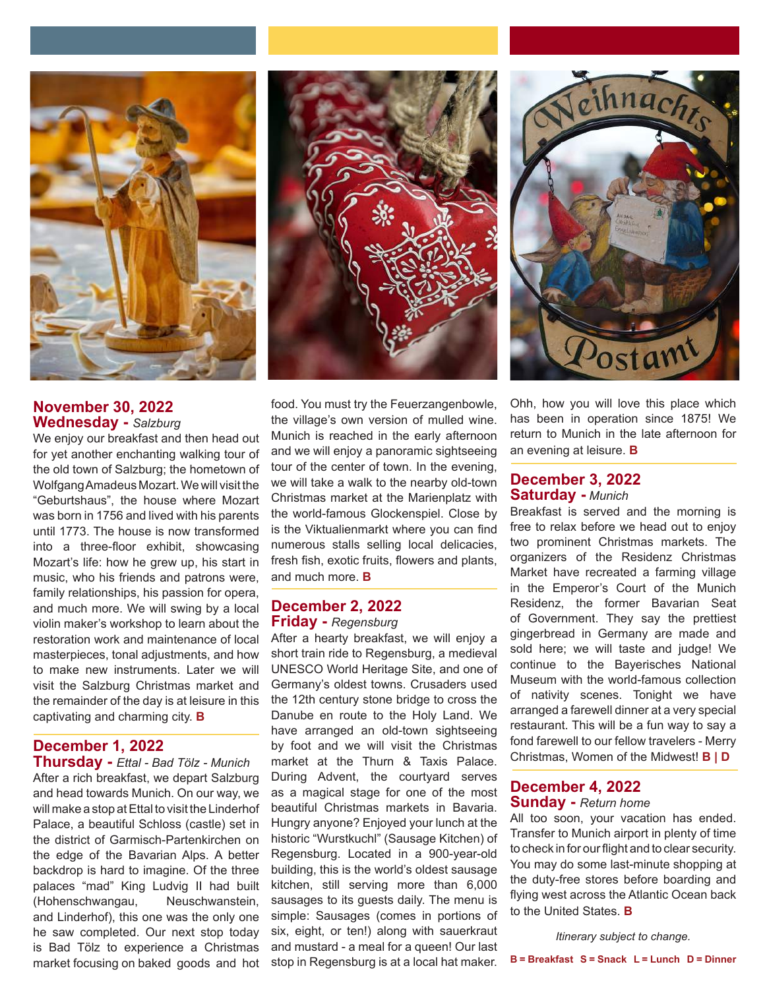

## **November 30, 2022 Wednesday -** *Salzburg*

We enjoy our breakfast and then head out for yet another enchanting walking tour of the old town of Salzburg; the hometown of Wolfgang Amadeus Mozart. We will visit the "Geburtshaus", the house where Mozart was born in 1756 and lived with his parents until 1773. The house is now transformed into a three-floor exhibit, showcasing Mozart's life: how he grew up, his start in music, who his friends and patrons were, family relationships, his passion for opera, and much more. We will swing by a local violin maker's workshop to learn about the restoration work and maintenance of local masterpieces, tonal adjustments, and how to make new instruments. Later we will visit the Salzburg Christmas market and the remainder of the day is at leisure in this captivating and charming city. **B**

## **December 1, 2022**

**Thursday -** *Ettal - Bad Tölz - Munich*  After a rich breakfast, we depart Salzburg and head towards Munich. On our way, we will make a stop at Ettal to visit the Linderhof Palace, a beautiful Schloss (castle) set in the district of Garmisch-Partenkirchen on the edge of the Bavarian Alps. A better backdrop is hard to imagine. Of the three palaces "mad" King Ludvig II had built (Hohenschwangau, Neuschwanstein, and Linderhof), this one was the only one he saw completed. Our next stop today is Bad Tölz to experience a Christmas market focusing on baked goods and hot





food. You must try the Feuerzangenbowle, the village's own version of mulled wine. Munich is reached in the early afternoon and we will enjoy a panoramic sightseeing tour of the center of town. In the evening, we will take a walk to the nearby old-town Christmas market at the Marienplatz with the world-famous Glockenspiel. Close by is the Viktualienmarkt where you can find numerous stalls selling local delicacies, fresh fish, exotic fruits, flowers and plants, and much more. **B**

#### **December 2, 2022 Friday -** *Regensburg*

After a hearty breakfast, we will enjoy a short train ride to Regensburg, a medieval UNESCO World Heritage Site, and one of Germany's oldest towns. Crusaders used the 12th century stone bridge to cross the Danube en route to the Holy Land. We have arranged an old-town sightseeing by foot and we will visit the Christmas market at the Thurn & Taxis Palace. During Advent, the courtyard serves as a magical stage for one of the most beautiful Christmas markets in Bavaria. Hungry anyone? Enjoyed your lunch at the historic "Wurstkuchl" (Sausage Kitchen) of Regensburg. Located in a 900-year-old building, this is the world's oldest sausage kitchen, still serving more than 6,000 sausages to its guests daily. The menu is simple: Sausages (comes in portions of six, eight, or ten!) along with sauerkraut and mustard - a meal for a queen! Our last stop in Regensburg is at a local hat maker. Ohh, how you will love this place which has been in operation since 1875! We return to Munich in the late afternoon for an evening at leisure. **B**

#### **December 3, 2022 Saturday -** *Munich*

Breakfast is served and the morning is free to relax before we head out to enjoy two prominent Christmas markets. The organizers of the Residenz Christmas Market have recreated a farming village in the Emperor's Court of the Munich Residenz, the former Bavarian Seat of Government. They say the prettiest gingerbread in Germany are made and sold here; we will taste and judge! We continue to the Bayerisches National Museum with the world-famous collection of nativity scenes. Tonight we have arranged a farewell dinner at a very special restaurant. This will be a fun way to say a fond farewell to our fellow travelers - Merry Christmas, Women of the Midwest! **B | D**

#### **December 4, 2022 Sunday -** *Return home*

#### All too soon, your vacation has ended. Transfer to Munich airport in plenty of time to check in for our flight and to clear security. You may do some last-minute shopping at the duty-free stores before boarding and flying west across the Atlantic Ocean back to the United States. **B**

*Itinerary subject to change.*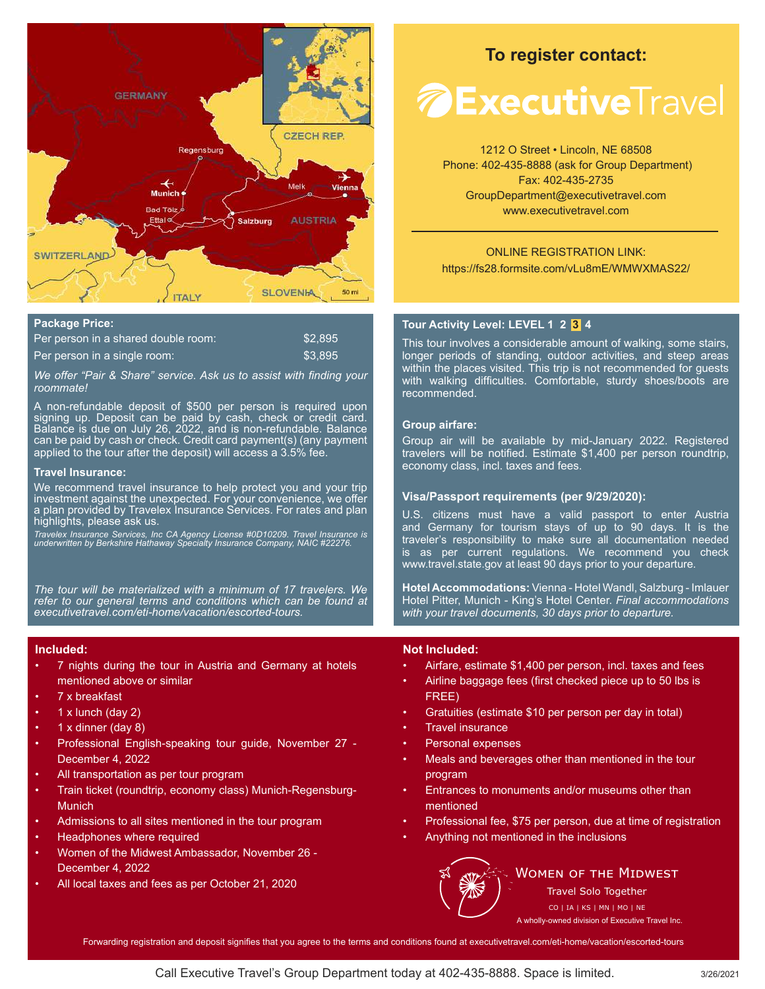

#### **Package Price:**

| Per person in a shared double room: | \$2.895 |
|-------------------------------------|---------|
| Per person in a single room:        | \$3.895 |

*We offer "Pair & Share" service. Ask us to assist with finding your roommate!* 

A non-refundable deposit of \$500 per person is required upon signing up. Deposit can be paid by cash, check or credit card. Balance is due on July 26, 2022, and is non-refundable. Balance can be paid by cash or check. Credit card payment(s) (any payment applied to the tour after the deposit) will access a 3.5% fee.

#### **Travel Insurance:**

We recommend travel insurance to help protect you and your trip investment against the unexpected. For your convenience, we offer a plan provided by Travelex Insurance Services. For rates and plan highlights, please ask us.

*Travelex Insurance Services, Inc CA Agency License #0D10209. Travel Insurance is underwritten by Berkshire Hathaway Specialty Insurance Company, NAIC #22276.*

*The tour will be materialized with a minimum of 17 travelers. We refer to our general terms and conditions which can be found at executivetravel.com/eti-home/vacation/escorted-tours.*

#### **Included:**

- 7 nights during the tour in Austria and Germany at hotels mentioned above or similar
- 7 x breakfast
- $1 x$  lunch (day 2)
- 1 x dinner (day 8)
- Professional English-speaking tour guide, November 27 December 4, 2022
- All transportation as per tour program
- Train ticket (roundtrip, economy class) Munich-Regensburg-**Munich**
- Admissions to all sites mentioned in the tour program
- Headphones where required
- Women of the Midwest Ambassador, November 26 December 4, 2022
- All local taxes and fees as per October 21, 2020

## **To register contact:**

# *A* **Executive**Travel

1212 O Street • Lincoln, NE 68508 Phone: 402-435-8888 (ask for Group Department) Fax: 402-435-2735 GroupDepartment@executivetravel.com www.executivetravel.com

#### ONLINE REGISTRATION LINK: https://fs28.formsite.com/vLu8mE/WMWXMAS22/

#### **Tour Activity Level: LEVEL 1 2 3 4**

This tour involves a considerable amount of walking, some stairs, longer periods of standing, outdoor activities, and steep areas within the places visited. This trip is not recommended for guests with walking difficulties. Comfortable, sturdy shoes/boots are recommended.

#### **Group airfare:**

Group air will be available by mid-January 2022. Registered travelers will be notified. Estimate \$1,400 per person roundtrip, economy class, incl. taxes and fees.

#### **Visa/Passport requirements (per 9/29/2020):**

U.S. citizens must have a valid passport to enter Austria and Germany for tourism stays of up to 90 days. It is the traveler's responsibility to make sure all documentation needed is as per current regulations. We recommend you check www.travel.state.gov at least 90 days prior to your departure.

**Hotel Accommodations:** Vienna - Hotel Wandl, Salzburg - Imlauer Hotel Pitter, Munich - King's Hotel Center. *Final accommodations with your travel documents, 30 days prior to departure.*

#### **Not Included:**

- Airfare, estimate \$1,400 per person, incl. taxes and fees
- Airline baggage fees (first checked piece up to 50 lbs is FREE)
- Gratuities (estimate \$10 per person per day in total)
- **Travel insurance**
- Personal expenses
- Meals and beverages other than mentioned in the tour program
- Entrances to monuments and/or museums other than mentioned
- Professional fee, \$75 per person, due at time of registration
- Anything not mentioned in the inclusions



#### **WOMEN OF THE MIDWEST**

Travel Solo Together CO | IA | KS | MN | MO | NE

A wholly-owned division of Executive Travel Inc.

Forwarding registration and deposit signifies that you agree to the terms and conditions found at executivetravel.com/eti-home/vacation/escorted-tours